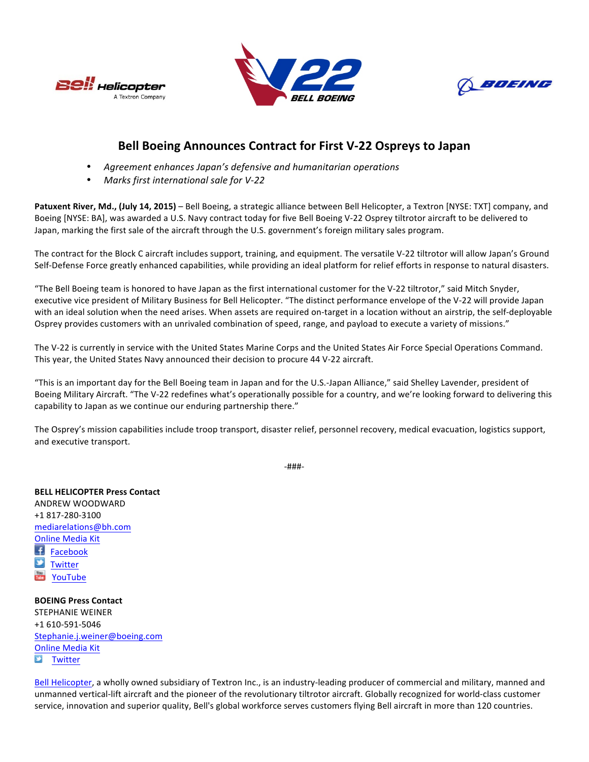





## **Bell Boeing Announces Contract for First V-22 Ospreys to Japan**

- Agreement enhances Japan's defensive and humanitarian operations
- *Marks first international sale for V-22*

Patuxent River, Md., (July 14, 2015) – Bell Boeing, a strategic alliance between Bell Helicopter, a Textron [NYSE: TXT] company, and Boeing [NYSE: BA], was awarded a U.S. Navy contract today for five Bell Boeing V-22 Osprey tiltrotor aircraft to be delivered to Japan, marking the first sale of the aircraft through the U.S. government's foreign military sales program.

The contract for the Block C aircraft includes support, training, and equipment. The versatile V-22 tiltrotor will allow Japan's Ground Self-Defense Force greatly enhanced capabilities, while providing an ideal platform for relief efforts in response to natural disasters.

"The Bell Boeing team is honored to have Japan as the first international customer for the V-22 tiltrotor," said Mitch Snyder, executive vice president of Military Business for Bell Helicopter. "The distinct performance envelope of the V-22 will provide Japan with an ideal solution when the need arises. When assets are required on-target in a location without an airstrip, the self-deployable Osprey provides customers with an unrivaled combination of speed, range, and payload to execute a variety of missions."

The V-22 is currently in service with the United States Marine Corps and the United States Air Force Special Operations Command. This year, the United States Navy announced their decision to procure 44 V-22 aircraft.

"This is an important day for the Bell Boeing team in Japan and for the U.S.-Japan Alliance," said Shelley Lavender, president of Boeing Military Aircraft. "The V-22 redefines what's operationally possible for a country, and we're looking forward to delivering this capability to Japan as we continue our enduring partnership there."

The Osprey's mission capabilities include troop transport, disaster relief, personnel recovery, medical evacuation, logistics support, and executive transport.

-###-

**BELL HELICOPTER Press Contact** ANDREW WOODWARD +1 817-280-3100 mediarelations@bh.com **Online Media Kit** 王 Facebook **Twitter** YouTube

**BOEING Press Contact** STEPHANIE WEINER +1 610-591-5046 Stephanie.j.weiner@boeing.com Online Media Kit  $\boldsymbol{\Sigma}$ **Twitter** 

Bell Helicopter, a wholly owned subsidiary of Textron Inc., is an industry-leading producer of commercial and military, manned and unmanned vertical-lift aircraft and the pioneer of the revolutionary tiltrotor aircraft. Globally recognized for world-class customer service, innovation and superior quality, Bell's global workforce serves customers flying Bell aircraft in more than 120 countries.